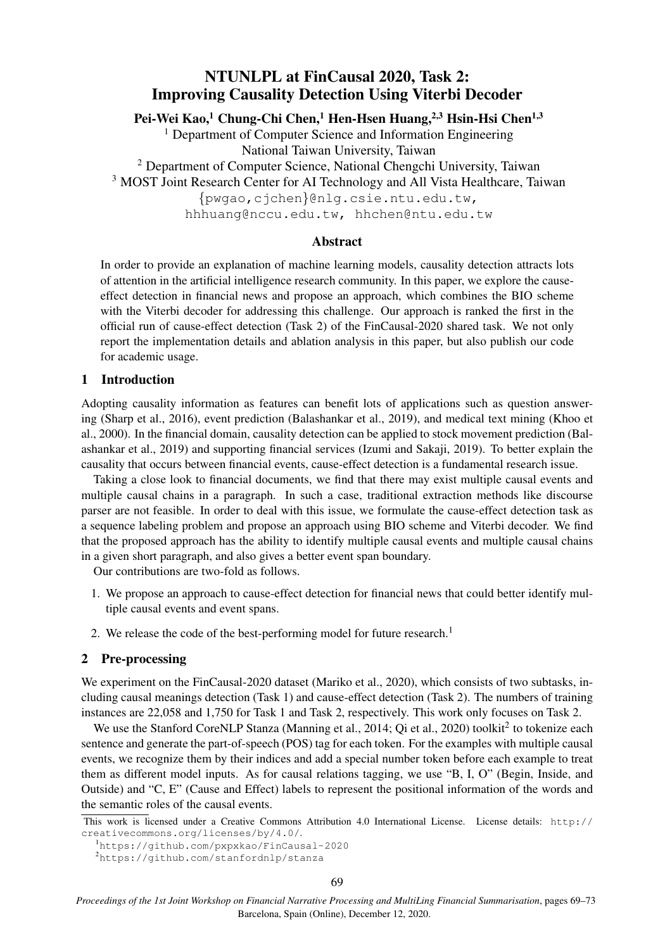# NTUNLPL at FinCausal 2020, Task 2: Improving Causality Detection Using Viterbi Decoder

Pei-Wei Kao,<sup>1</sup> Chung-Chi Chen,<sup>1</sup> Hen-Hsen Huang,<sup>2,3</sup> Hsin-Hsi Chen<sup>1,3</sup>

<sup>1</sup> Department of Computer Science and Information Engineering National Taiwan University, Taiwan

<sup>2</sup> Department of Computer Science, National Chengchi University, Taiwan

<sup>3</sup> MOST Joint Research Center for AI Technology and All Vista Healthcare, Taiwan

{pwgao,cjchen}@nlg.csie.ntu.edu.tw,

hhhuang@nccu.edu.tw, hhchen@ntu.edu.tw

# Abstract

In order to provide an explanation of machine learning models, causality detection attracts lots of attention in the artificial intelligence research community. In this paper, we explore the causeeffect detection in financial news and propose an approach, which combines the BIO scheme with the Viterbi decoder for addressing this challenge. Our approach is ranked the first in the official run of cause-effect detection (Task 2) of the FinCausal-2020 shared task. We not only report the implementation details and ablation analysis in this paper, but also publish our code for academic usage.

## 1 Introduction

Adopting causality information as features can benefit lots of applications such as question answering (Sharp et al., 2016), event prediction (Balashankar et al., 2019), and medical text mining (Khoo et al., 2000). In the financial domain, causality detection can be applied to stock movement prediction (Balashankar et al., 2019) and supporting financial services (Izumi and Sakaji, 2019). To better explain the causality that occurs between financial events, cause-effect detection is a fundamental research issue.

Taking a close look to financial documents, we find that there may exist multiple causal events and multiple causal chains in a paragraph. In such a case, traditional extraction methods like discourse parser are not feasible. In order to deal with this issue, we formulate the cause-effect detection task as a sequence labeling problem and propose an approach using BIO scheme and Viterbi decoder. We find that the proposed approach has the ability to identify multiple causal events and multiple causal chains in a given short paragraph, and also gives a better event span boundary.

Our contributions are two-fold as follows.

- 1. We propose an approach to cause-effect detection for financial news that could better identify multiple causal events and event spans.
- 2. We release the code of the best-performing model for future research.<sup>1</sup>

# 2 Pre-processing

We experiment on the FinCausal-2020 dataset (Mariko et al., 2020), which consists of two subtasks, including causal meanings detection (Task 1) and cause-effect detection (Task 2). The numbers of training instances are 22,058 and 1,750 for Task 1 and Task 2, respectively. This work only focuses on Task 2.

We use the Stanford CoreNLP Stanza (Manning et al., 2014; Qi et al., 2020) toolkit<sup>2</sup> to tokenize each sentence and generate the part-of-speech (POS) tag for each token. For the examples with multiple causal events, we recognize them by their indices and add a special number token before each example to treat them as different model inputs. As for causal relations tagging, we use "B, I, O" (Begin, Inside, and Outside) and "C, E" (Cause and Effect) labels to represent the positional information of the words and the semantic roles of the causal events.

This work is licensed under a Creative Commons Attribution 4.0 International License. License details: http:// creativecommons.org/licenses/by/4.0/.

<sup>1</sup>https://github.com/pxpxkao/FinCausal-2020

<sup>2</sup>https://github.com/stanfordnlp/stanza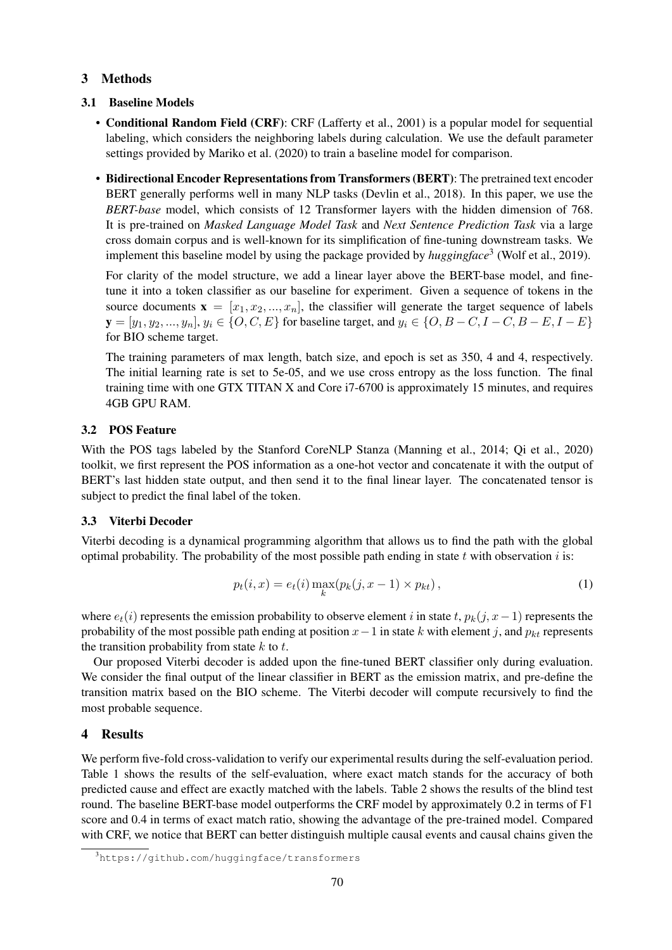# 3 Methods

#### 3.1 Baseline Models

- Conditional Random Field (CRF): CRF (Lafferty et al., 2001) is a popular model for sequential labeling, which considers the neighboring labels during calculation. We use the default parameter settings provided by Mariko et al. (2020) to train a baseline model for comparison.
- Bidirectional Encoder Representations from Transformers (BERT): The pretrained text encoder BERT generally performs well in many NLP tasks (Devlin et al., 2018). In this paper, we use the *BERT-base* model, which consists of 12 Transformer layers with the hidden dimension of 768. It is pre-trained on *Masked Language Model Task* and *Next Sentence Prediction Task* via a large cross domain corpus and is well-known for its simplification of fine-tuning downstream tasks. We implement this baseline model by using the package provided by *huggingface*<sup>3</sup> (Wolf et al., 2019).

For clarity of the model structure, we add a linear layer above the BERT-base model, and finetune it into a token classifier as our baseline for experiment. Given a sequence of tokens in the source documents  $\mathbf{x} = [x_1, x_2, ..., x_n]$ , the classifier will generate the target sequence of labels  $y = [y_1, y_2, ..., y_n], y_i \in \{O, C, E\}$  for baseline target, and  $y_i \in \{O, B - C, I - C, B - E, I - E\}$ for BIO scheme target.

The training parameters of max length, batch size, and epoch is set as 350, 4 and 4, respectively. The initial learning rate is set to 5e-05, and we use cross entropy as the loss function. The final training time with one GTX TITAN X and Core i7-6700 is approximately 15 minutes, and requires 4GB GPU RAM.

#### 3.2 POS Feature

With the POS tags labeled by the Stanford CoreNLP Stanza (Manning et al., 2014; Qi et al., 2020) toolkit, we first represent the POS information as a one-hot vector and concatenate it with the output of BERT's last hidden state output, and then send it to the final linear layer. The concatenated tensor is subject to predict the final label of the token.

## 3.3 Viterbi Decoder

Viterbi decoding is a dynamical programming algorithm that allows us to find the path with the global optimal probability. The probability of the most possible path ending in state  $t$  with observation  $i$  is:

$$
p_t(i, x) = e_t(i) \max_{k} (p_k(j, x - 1) \times p_{kt}),
$$
\n(1)

where  $e_t(i)$  represents the emission probability to observe element i in state t,  $p_k(j, x-1)$  represents the probability of the most possible path ending at position  $x-1$  in state k with element j, and  $p_{kt}$  represents the transition probability from state  $k$  to  $t$ .

Our proposed Viterbi decoder is added upon the fine-tuned BERT classifier only during evaluation. We consider the final output of the linear classifier in BERT as the emission matrix, and pre-define the transition matrix based on the BIO scheme. The Viterbi decoder will compute recursively to find the most probable sequence.

#### 4 Results

We perform five-fold cross-validation to verify our experimental results during the self-evaluation period. Table 1 shows the results of the self-evaluation, where exact match stands for the accuracy of both predicted cause and effect are exactly matched with the labels. Table 2 shows the results of the blind test round. The baseline BERT-base model outperforms the CRF model by approximately 0.2 in terms of F1 score and 0.4 in terms of exact match ratio, showing the advantage of the pre-trained model. Compared with CRF, we notice that BERT can better distinguish multiple causal events and causal chains given the

<sup>3</sup>https://github.com/huggingface/transformers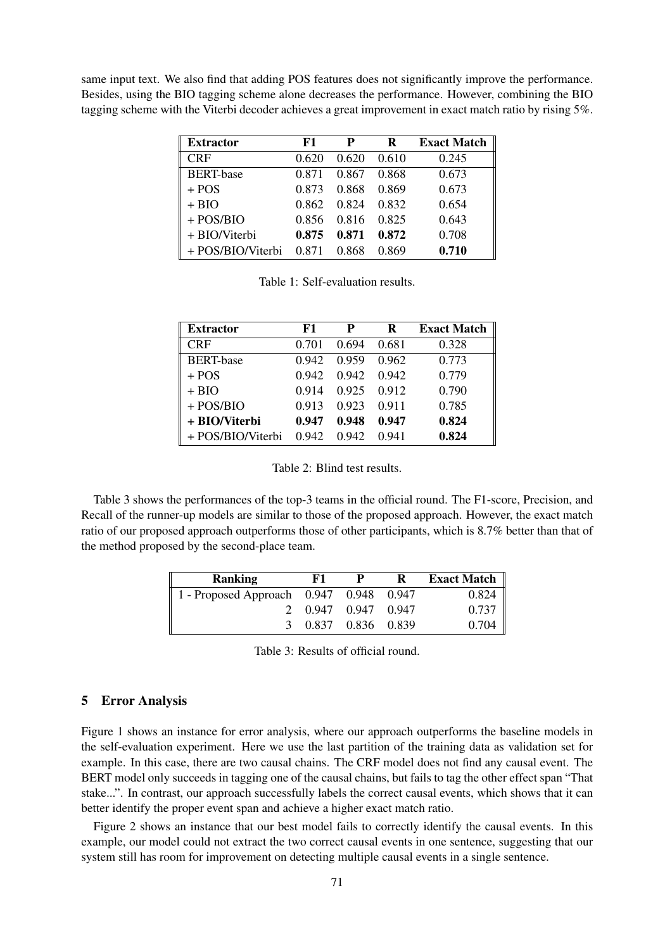same input text. We also find that adding POS features does not significantly improve the performance. Besides, using the BIO tagging scheme alone decreases the performance. However, combining the BIO tagging scheme with the Viterbi decoder achieves a great improvement in exact match ratio by rising 5%.

| <b>Extractor</b>  | F1    | P     | R     | <b>Exact Match</b> |
|-------------------|-------|-------|-------|--------------------|
| <b>CRF</b>        | 0.620 | 0.620 | 0.610 | 0.245              |
| <b>BERT-base</b>  | 0.871 | 0.867 | 0.868 | 0.673              |
| $+ POS$           | 0.873 | 0.868 | 0.869 | 0.673              |
| $+ BIO$           | 0.862 | 0.824 | 0.832 | 0.654              |
| $+$ POS/BIO       | 0.856 | 0.816 | 0.825 | 0.643              |
| + BIO/Viterbi     | 0.875 | 0.871 | 0.872 | 0.708              |
| + POS/BIO/Viterbi | 0.871 | 0.868 | 0.869 | 0.710              |

Table 1: Self-evaluation results.

| <b>Extractor</b>  | F1    | P     | R     | <b>Exact Match</b> |
|-------------------|-------|-------|-------|--------------------|
| <b>CRF</b>        | 0.701 | 0.694 | 0.681 | 0.328              |
| <b>BERT-base</b>  | 0.942 | 0.959 | 0.962 | 0.773              |
| $+ POS$           | 0.942 | 0.942 | 0.942 | 0.779              |
| $+ BIO$           | 0.914 | 0.925 | 0.912 | 0.790              |
| $+$ POS/BIO       | 0.913 | 0.923 | 0.911 | 0.785              |
| + BIO/Viterbi     | 0.947 | 0.948 | 0.947 | 0.824              |
| + POS/BIO/Viterbi | 0.942 | 0.942 | 0.941 | 0.824              |

Table 2: Blind test results.

Table 3 shows the performances of the top-3 teams in the official round. The F1-score, Precision, and Recall of the runner-up models are similar to those of the proposed approach. However, the exact match ratio of our proposed approach outperforms those of other participants, which is 8.7% better than that of the method proposed by the second-place team.

| <b>Ranking</b>                          | F1 |                     | R | <b>Exact Match</b>                                                                   |
|-----------------------------------------|----|---------------------|---|--------------------------------------------------------------------------------------|
| 1 - Proposed Approach 0.947 0.948 0.947 |    |                     |   |                                                                                      |
|                                         |    | 2 0.947 0.947 0.947 |   |                                                                                      |
|                                         |    | 3 0.837 0.836 0.839 |   | $\begin{array}{ l } \hline 0.824 \ \hline 0.737 \ \hline 0.704 \ \hline \end{array}$ |

Table 3: Results of official round.

# 5 Error Analysis

Figure 1 shows an instance for error analysis, where our approach outperforms the baseline models in the self-evaluation experiment. Here we use the last partition of the training data as validation set for example. In this case, there are two causal chains. The CRF model does not find any causal event. The BERT model only succeeds in tagging one of the causal chains, but fails to tag the other effect span "That stake...". In contrast, our approach successfully labels the correct causal events, which shows that it can better identify the proper event span and achieve a higher exact match ratio.

Figure 2 shows an instance that our best model fails to correctly identify the causal events. In this example, our model could not extract the two correct causal events in one sentence, suggesting that our system still has room for improvement on detecting multiple causal events in a single sentence.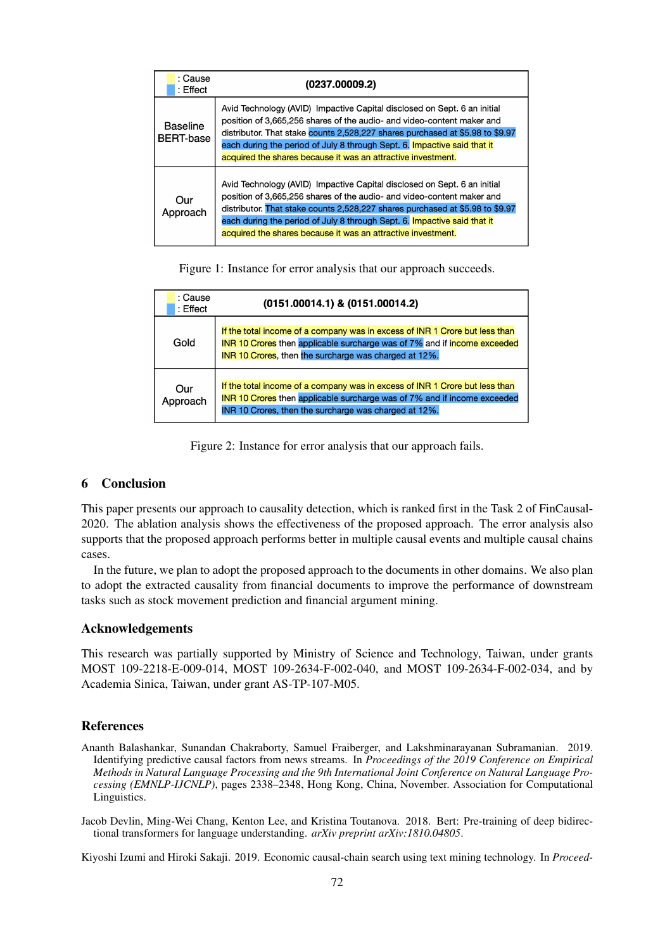| : Cause<br>: Effect          | (0237.00009.2)                                                                                                                                                                                                                                                                                                                                                                  |
|------------------------------|---------------------------------------------------------------------------------------------------------------------------------------------------------------------------------------------------------------------------------------------------------------------------------------------------------------------------------------------------------------------------------|
| Baseline<br><b>BERT-base</b> | Avid Technology (AVID) Impactive Capital disclosed on Sept. 6 an initial<br>position of 3,665,256 shares of the audio- and video-content maker and<br>distributor. That stake counts 2,528,227 shares purchased at \$5.98 to \$9.97<br>each during the period of July 8 through Sept. 6. Impactive said that it<br>acquired the shares because it was an attractive investment. |
| Our<br>Approach              | Avid Technology (AVID) Impactive Capital disclosed on Sept. 6 an initial<br>position of 3,665,256 shares of the audio- and video-content maker and<br>distributor. That stake counts 2,528,227 shares purchased at \$5.98 to \$9.97<br>each during the period of July 8 through Sept. 6. Impactive said that it<br>acquired the shares because it was an attractive investment. |

Figure 1: Instance for error analysis that our approach succeeds.

| : Cause<br>: Effect | (0151.00014.1) & (0151.00014.2)                                                                                                                                                                                  |
|---------------------|------------------------------------------------------------------------------------------------------------------------------------------------------------------------------------------------------------------|
| Gold                | If the total income of a company was in excess of INR 1 Crore but less than<br>INR 10 Crores then applicable surcharge was of 7% and if income exceeded<br>INR 10 Crores, then the surcharge was charged at 12%. |
| Our<br>Approach     | If the total income of a company was in excess of INR 1 Crore but less than<br>INR 10 Crores then applicable surcharge was of 7% and if income exceeded<br>INR 10 Crores, then the surcharge was charged at 12%. |

Figure 2: Instance for error analysis that our approach fails.

## 6 Conclusion

This paper presents our approach to causality detection, which is ranked first in the Task 2 of FinCausal-2020. The ablation analysis shows the effectiveness of the proposed approach. The error analysis also supports that the proposed approach performs better in multiple causal events and multiple causal chains cases.

In the future, we plan to adopt the proposed approach to the documents in other domains. We also plan to adopt the extracted causality from financial documents to improve the performance of downstream tasks such as stock movement prediction and financial argument mining.

## Acknowledgements

This research was partially supported by Ministry of Science and Technology, Taiwan, under grants MOST 109-2218-E-009-014, MOST 109-2634-F-002-040, and MOST 109-2634-F-002-034, and by Academia Sinica, Taiwan, under grant AS-TP-107-M05.

## References

Ananth Balashankar, Sunandan Chakraborty, Samuel Fraiberger, and Lakshminarayanan Subramanian. 2019. Identifying predictive causal factors from news streams. In *Proceedings of the 2019 Conference on Empirical Methods in Natural Language Processing and the 9th International Joint Conference on Natural Language Processing (EMNLP-IJCNLP)*, pages 2338–2348, Hong Kong, China, November. Association for Computational Linguistics.

Jacob Devlin, Ming-Wei Chang, Kenton Lee, and Kristina Toutanova. 2018. Bert: Pre-training of deep bidirectional transformers for language understanding. *arXiv preprint arXiv:1810.04805*.

Kiyoshi Izumi and Hiroki Sakaji. 2019. Economic causal-chain search using text mining technology. In *Proceed-*